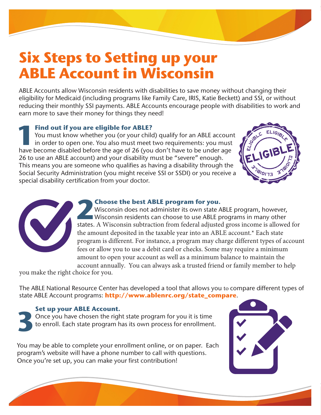# **Six Steps to Setting up your ABLE Account in Wisconsin**

ABLE Accounts allow Wisconsin residents with disabilities to save money without changing their eligibility for Medicaid (including programs like Family Care, IRIS, Katie Beckett) and SSI, or without reducing their monthly SSI payments. ABLE Accounts encourage people with disabilities to work and earn more to save their money for things they need!

**1 Find out if you are eligible for ABLE?**<br>You must know whether you (or your child<br>in order to open one. You also must meet<br>have become disabled before the age of 26 (ye) You must know whether you (or your child) qualify for an ABLE account in order to open one. You also must meet two requirements: you must have become disabled before the age of 26 (you don't have to be under age 26 to use an ABLE account) and your disability must be "severe" enough. This means you are someone who qualifies as having a disability through the Social Security Administration (you might receive SSI or SSDI) or you receive a special disability certification from your doctor.





**2 Choose the best ABLE program for you.**<br>Wisconsin does not administer its own state A Wisconsin residents can choose to use ABLE proteins a Millister Wisconsin does not administer its own state ABLE program, however, Wisconsin residents can choose to use ABLE programs in many other states. A Wisconsin subtraction from federal adjusted gross income is allowed for the amount deposited in the taxable year into an ABLE account.\* Each state program is different. For instance, a program may charge different types of account fees or allow you to use a debit card or checks. Some may require a minimum amount to open your account as well as a minimum balance to maintain the account annually. You can always ask a trusted friend or family member to help

you make the right choice for you.

The ABLE National Resource Center has developed a tool that allows you to compare different types of state ABLE Account programs: **http://www.ablenrc.org/state\_compare**.

## **Set up your ABLE Account.**

**3** Once you have chosen the right state program for you it is time to enroll. Each state program has its own process for enrollment.

You may be able to complete your enrollment online, or on paper. Each program's website will have a phone number to call with questions. Once you're set up, you can make your first contribution!